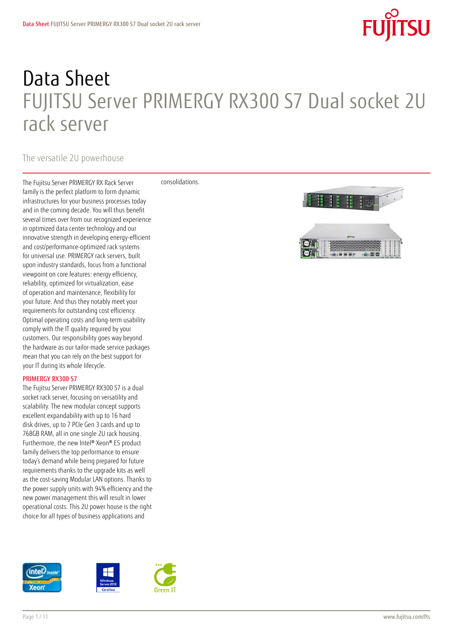# **SU**

## Data Sheet FUJITSU Server PRIMERGY RX300 S7 Dual socket 2U rack server

### The versatile 2U powerhouse

The Fujitsu Server PRIMERGY RX Rack Server family is the perfect platform to form dynamic infrastructures for your business processes today and in the coming decade. You will thus benefit several times over from our recognized experience in optimized data center technology and our innovative strength in developing energy-efficient and cost/performance-optimized rack systems for universal use. PRIMERGY rack servers, built upon industry standards, focus from a functional viewpoint on core features: energy efficiency, reliability, optimized for virtualization, ease of operation and maintenance, flexibility for your future. And thus they notably meet your requirements for outstanding cost efficiency. Optimal operating costs and long-term usability comply with the IT quality required by your customers. Our responsibility goes way beyond the hardware as our tailor-made service packages mean that you can rely on the best support for your IT during its whole lifecycle.

### PRIMERGY RX300 S7

The Fujitsu Server PRIMERGY RX300 S7 is a dual socket rack server, focusing on versatility and scalability. The new modular concept supports excellent expandability with up to 16 hard disk drives, up to 7 PCIe Gen 3 cards and up to 768GB RAM, all in one single 2U rack housing. Furthermore, the new Intel® Xeon® E5 product family delivers the top performance to ensure today's demand while being prepared for future requirements thanks to the upgrade kits as well as the cost-saving Modular LAN options. Thanks to the power supply units with 94% efficiency and the new power management this will result in lower operational costs. This 2U power house is the right choice for all types of business applications and



consolidations.

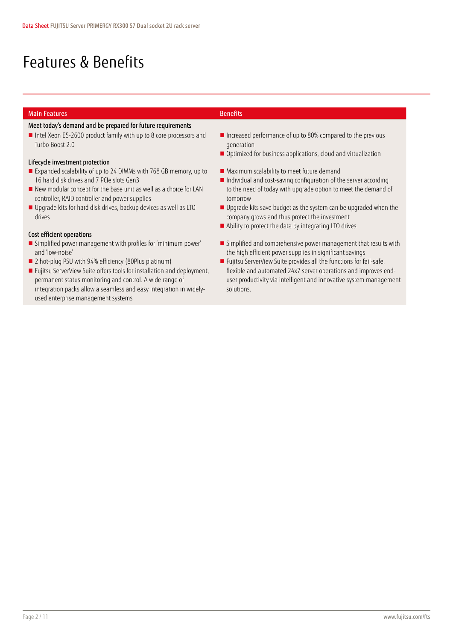### Features & Benefits

### **Main Features Benefits**

### Meet today's demand and be prepared for future requirements

■ Intel Xeon E5-2600 product family with up to 8 core processors and Turbo Boost 2.0

### Lifecycle investment protection

- Expanded scalability of up to 24 DIMMs with 768 GB memory, up to 16 hard disk drives and 7 PCIe slots Gen3
- New modular concept for the base unit as well as a choice for LAN controller, RAID controller and power supplies
- Upgrade kits for hard disk drives, backup devices as well as LTO drives

### Cost efficient operations

- Simplified power management with profiles for 'minimum power' and 'low-noise'
- 2 hot-plug PSU with 94% efficiency (80Plus platinum)
- **F**ujitsu ServerView Suite offers tools for installation and deployment, permanent status monitoring and control. A wide range of integration packs allow a seamless and easy integration in widelyused enterprise management systems
- **Increased performance of up to 80% compared to the previous** generation
- Optimized for business applications, cloud and virtualization
- **Maximum scalability to meet future demand**
- Individual and cost-saving configuration of the server according to the need of today with upgrade option to meet the demand of tomorrow
- Upgrade kits save budget as the system can be upgraded when the company grows and thus protect the investment
- Ability to protect the data by integrating LTO drives
- **Simplified and comprehensive power management that results with** the high efficient power supplies in significant savings
- **F**ujitsu ServerView Suite provides all the functions for fail-safe, flexible and automated 24x7 server operations and improves enduser productivity via intelligent and innovative system management solutions.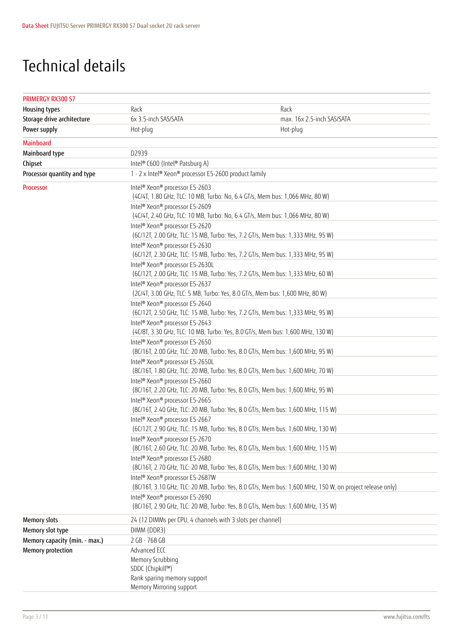### Technical details

| <b>PRIMERGY RX300 S7</b>      |                                                                     |                                                                                                          |
|-------------------------------|---------------------------------------------------------------------|----------------------------------------------------------------------------------------------------------|
| <b>Housing types</b>          | Rack                                                                | Rack                                                                                                     |
| Storage drive architecture    | 6x 3.5-inch SAS/SATA                                                | max. 16x 2.5-inch SAS/SATA                                                                               |
| Power supply                  | Hot-plug                                                            | Hot-plug                                                                                                 |
| <b>Mainboard</b>              |                                                                     |                                                                                                          |
| Mainboard type                | D2939                                                               |                                                                                                          |
| Chipset                       | Intel® C600 (Intel® Patsburg A)                                     |                                                                                                          |
| Processor quantity and type   | 1 - 2 x Intel® Xeon® processor E5-2600 product family               |                                                                                                          |
| Processor                     | Intel <sup>®</sup> Xeon <sup>®</sup> processor E5-2603              | (4C/4T, 1.80 GHz, TLC: 10 MB, Turbo: No, 6.4 GT/s, Mem bus: 1,066 MHz, 80 W)                             |
|                               | Intel® Xeon® processor E5-2609                                      | (4C/4T, 2.40 GHz, TLC: 10 MB, Turbo: No, 6.4 GT/s, Mem bus: 1,066 MHz, 80 W)                             |
|                               | Intel <sup>®</sup> Xeon <sup>®</sup> processor E5-2620              | (6C/12T, 2.00 GHz, TLC: 15 MB, Turbo: Yes, 7.2 GT/s, Mem bus: 1,333 MHz, 95 W)                           |
|                               | Intel <sup>®</sup> Xeon <sup>®</sup> processor E5-2630              | (6C/12T, 2.30 GHz, TLC: 15 MB, Turbo: Yes, 7.2 GT/s, Mem bus: 1,333 MHz, 95 W)                           |
|                               | Intel® Xeon® processor E5-2630L                                     | (6C/12T, 2.00 GHz, TLC: 15 MB, Turbo: Yes, 7.2 GT/s, Mem bus: 1,333 MHz, 60 W)                           |
|                               | Intel <sup>®</sup> Xeon <sup>®</sup> processor E5-2637              | (2C/4T, 3.00 GHz, TLC: 5 MB, Turbo: Yes, 8.0 GT/s, Mem bus: 1,600 MHz, 80 W)                             |
|                               | Intel <sup>®</sup> Xeon <sup>®</sup> processor E5-2640              | (6C/12T, 2.50 GHz, TLC: 15 MB, Turbo: Yes, 7.2 GT/s, Mem bus: 1,333 MHz, 95 W)                           |
|                               | Intel® Xeon® processor E5-2643                                      | (4C/8T, 3.30 GHz, TLC: 10 MB, Turbo: Yes, 8.0 GT/s, Mem bus: 1,600 MHz, 130 W)                           |
|                               | Intel <sup>®</sup> Xeon <sup>®</sup> processor E5-2650              | (8C/16T, 2.00 GHz, TLC: 20 MB, Turbo: Yes, 8.0 GT/s, Mem bus: 1,600 MHz, 95 W)                           |
|                               | Intel <sup>®</sup> Xeon <sup>®</sup> processor E5-2650L             | (8C/16T, 1.80 GHz, TLC: 20 MB, Turbo: Yes, 8.0 GT/s, Mem bus: 1,600 MHz, 70 W)                           |
|                               | Intel <sup>®</sup> Xeon <sup>®</sup> processor E5-2660              | (8C/16T, 2.20 GHz, TLC: 20 MB, Turbo: Yes, 8.0 GT/s, Mem bus: 1,600 MHz, 95 W)                           |
|                               | Intel <sup>®</sup> Xeon <sup>®</sup> processor E5-2665              | (8C/16T, 2.40 GHz, TLC: 20 MB, Turbo: Yes, 8.0 GT/s, Mem bus: 1,600 MHz, 115 W)                          |
|                               | Intel <sup>®</sup> Xeon <sup>®</sup> processor E5-2667              | (6C/12T, 2.90 GHz, TLC: 15 MB, Turbo: Yes, 8.0 GT/s, Mem bus: 1,600 MHz, 130 W)                          |
|                               | Intel <sup>®</sup> Xeon <sup>®</sup> processor E5-2670              | (8C/16T, 2.60 GHz, TLC: 20 MB, Turbo: Yes, 8.0 GT/s, Mem bus: 1,600 MHz, 115 W)                          |
|                               | Intel <sup>®</sup> Xeon <sup>®</sup> processor E5-2680              | (8C/16T, 2.70 GHz, TLC: 20 MB, Turbo: Yes, 8.0 GT/s, Mem bus: 1,600 MHz, 130 W)                          |
|                               | Intel® Xeon® processor E5-2687W                                     | (8C/16T, 3.10 GHz, TLC: 20 MB, Turbo: Yes, 8.0 GT/s, Mem bus: 1,600 MHz, 150 W, on project release only) |
|                               | Intel <sup>®</sup> Xeon <sup>®</sup> processor E5-2690              | (8C/16T, 2.90 GHz, TLC: 20 MB, Turbo: Yes, 8.0 GT/s, Mem bus: 1,600 MHz, 135 W)                          |
| <b>Memory slots</b>           | 24 (12 DIMMs per CPU, 4 channels with 3 slots per channel)          |                                                                                                          |
| Memory slot type              | DIMM (DDR3)                                                         |                                                                                                          |
| Memory capacity (min. - max.) | 2 GB - 768 GB                                                       |                                                                                                          |
| Memory protection             | Advanced ECC                                                        |                                                                                                          |
|                               | Memory Scrubbing<br>SDDC (Chipkill™)<br>Rank sparing memory support |                                                                                                          |
|                               | Memory Mirroring support                                            |                                                                                                          |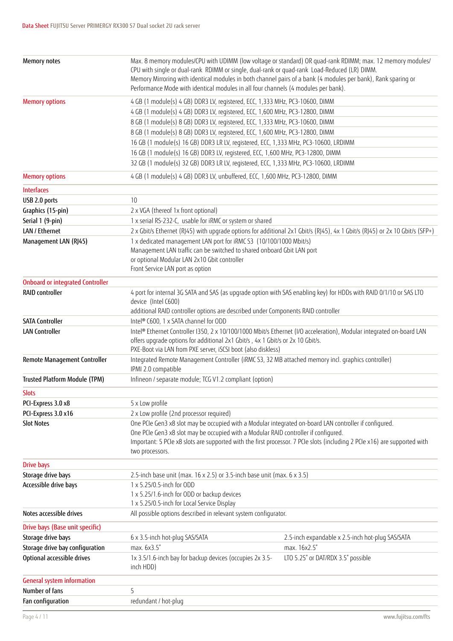| Memory notes                            | CPU with single or dual-rank RDIMM or single, dual-rank or quad-rank Load-Reduced (LR) DIMM.<br>Memory Mirroring with identical modules in both channel pairs of a bank (4 modules per bank), Rank sparing or<br>Performance Mode with identical modules in all four channels (4 modules per bank). | Max. 8 memory modules/CPU with UDIMM (low voltage or standard) OR quad-rank RDIMM; max. 12 memory modules/                  |
|-----------------------------------------|-----------------------------------------------------------------------------------------------------------------------------------------------------------------------------------------------------------------------------------------------------------------------------------------------------|-----------------------------------------------------------------------------------------------------------------------------|
| <b>Memory options</b>                   | 4 GB (1 module(s) 4 GB) DDR3 LV, registered, ECC, 1,333 MHz, PC3-10600, DIMM                                                                                                                                                                                                                        |                                                                                                                             |
|                                         | 4 GB (1 module(s) 4 GB) DDR3 LV, registered, ECC, 1,600 MHz, PC3-12800, DIMM                                                                                                                                                                                                                        |                                                                                                                             |
|                                         | 8 GB (1 module(s) 8 GB) DDR3 LV, registered, ECC, 1,333 MHz, PC3-10600, DIMM                                                                                                                                                                                                                        |                                                                                                                             |
|                                         | 8 GB (1 module(s) 8 GB) DDR3 LV, registered, ECC, 1,600 MHz, PC3-12800, DIMM                                                                                                                                                                                                                        |                                                                                                                             |
|                                         | 16 GB (1 module(s) 16 GB) DDR3 LR LV, registered, ECC, 1,333 MHz, PC3-10600, LRDIMM                                                                                                                                                                                                                 |                                                                                                                             |
|                                         | 16 GB (1 module(s) 16 GB) DDR3 LV, registered, ECC, 1,600 MHz, PC3-12800, DIMM                                                                                                                                                                                                                      |                                                                                                                             |
|                                         | 32 GB (1 module(s) 32 GB) DDR3 LR LV, registered, ECC, 1,333 MHz, PC3-10600, LRDIMM                                                                                                                                                                                                                 |                                                                                                                             |
| <b>Memory options</b>                   | 4 GB (1 module(s) 4 GB) DDR3 LV, unbuffered, ECC, 1,600 MHz, PC3-12800, DIMM                                                                                                                                                                                                                        |                                                                                                                             |
| <b>Interfaces</b>                       |                                                                                                                                                                                                                                                                                                     |                                                                                                                             |
| USB 2.0 ports                           | 10                                                                                                                                                                                                                                                                                                  |                                                                                                                             |
| Graphics (15-pin)                       | 2 x VGA (thereof 1x front optional)                                                                                                                                                                                                                                                                 |                                                                                                                             |
| Serial 1 (9-pin)                        | 1 x serial RS-232-C, usable for iRMC or system or shared                                                                                                                                                                                                                                            |                                                                                                                             |
| LAN / Ethernet                          |                                                                                                                                                                                                                                                                                                     | 2 x Gbit/s Ethernet (RJ45) with upgrade options for additional 2x1 Gbit/s (RJ45), 4x 1 Gbit/s (RJ45) or 2x 10 Gbit/s (SFP+) |
| Management LAN (RJ45)                   | 1 x dedicated management LAN port for iRMC S3 (10/100/1000 Mbit/s)                                                                                                                                                                                                                                  |                                                                                                                             |
|                                         | Management LAN traffic can be switched to shared onboard Gbit LAN port                                                                                                                                                                                                                              |                                                                                                                             |
|                                         | or optional Modular LAN 2x10 Gbit controller                                                                                                                                                                                                                                                        |                                                                                                                             |
|                                         | Front Service LAN port as option                                                                                                                                                                                                                                                                    |                                                                                                                             |
| <b>Onboard or integrated Controller</b> |                                                                                                                                                                                                                                                                                                     |                                                                                                                             |
| <b>RAID controller</b>                  |                                                                                                                                                                                                                                                                                                     | 4 port for internal 3G SATA and SAS (as upgrade option with SAS enabling key) for HDDs with RAID 0/1/10 or SAS LTO          |
|                                         | device (Intel C600)                                                                                                                                                                                                                                                                                 |                                                                                                                             |
|                                         | additional RAID controller options are described under Components RAID controller                                                                                                                                                                                                                   |                                                                                                                             |
| <b>SATA Controller</b>                  | Intel® C600, 1 x SATA channel for ODD                                                                                                                                                                                                                                                               |                                                                                                                             |
| <b>LAN Controller</b>                   | offers upgrade options for additional 2x1 Gbit/s, 4x 1 Gbit/s or 2x 10 Gbit/s.<br>PXE-Boot via LAN from PXE server, iSCSI boot (also diskless)                                                                                                                                                      | Intel® Ethernet Controller I350, 2 x 10/100/1000 Mbit/s Ethernet (I/O acceleration), Modular integrated on-board LAN        |
| Remote Management Controller            | Integrated Remote Management Controller (iRMC S3, 32 MB attached memory incl. graphics controller)<br>IPMI 2.0 compatible                                                                                                                                                                           |                                                                                                                             |
| <b>Trusted Platform Module (TPM)</b>    | Infineon / separate module; TCG V1.2 compliant (option)                                                                                                                                                                                                                                             |                                                                                                                             |
| <b>Slots</b>                            |                                                                                                                                                                                                                                                                                                     |                                                                                                                             |
| PCI-Express 3.0 x8                      | 5 x Low profile                                                                                                                                                                                                                                                                                     |                                                                                                                             |
| PCI-Express 3.0 x16                     | 2 x Low profile (2nd processor required)                                                                                                                                                                                                                                                            |                                                                                                                             |
| <b>Slot Notes</b>                       | One PCIe Gen3 x8 slot may be occupied with a Modular integrated on-board LAN controller if configured.<br>One PCIe Gen3 x8 slot may be occupied with a Modular RAID controller if configured.<br>two processors.                                                                                    | Important: 5 PCIe x8 slots are supported with the first processor. 7 PCIe slots (including 2 PCIe x16) are supported with   |
| <b>Drive bays</b>                       |                                                                                                                                                                                                                                                                                                     |                                                                                                                             |
| Storage drive bays                      | 2.5-inch base unit (max. $16 \times 2.5$ ) or 3.5-inch base unit (max. $6 \times 3.5$ )                                                                                                                                                                                                             |                                                                                                                             |
| Accessible drive bays                   | 1 x 5.25/0.5-inch for ODD                                                                                                                                                                                                                                                                           |                                                                                                                             |
|                                         | 1 x 5.25/1.6-inch for ODD or backup devices<br>1 x 5.25/0.5-inch for Local Service Display                                                                                                                                                                                                          |                                                                                                                             |
| Notes accessible drives                 | All possible options described in relevant system configurator.                                                                                                                                                                                                                                     |                                                                                                                             |
| Drive bays (Base unit specific)         |                                                                                                                                                                                                                                                                                                     |                                                                                                                             |
| Storage drive bays                      | 6 x 3.5-inch hot-plug SAS/SATA                                                                                                                                                                                                                                                                      | 2.5-inch expandable x 2.5-inch hot-plug SAS/SATA                                                                            |
| Storage drive bay configuration         | max. 6x3.5"                                                                                                                                                                                                                                                                                         | max. 16x2.5"                                                                                                                |
| Optional accessible drives              | 1x 3.5/1.6-inch bay for backup devices (occupies 2x 3.5-<br>inch HDD)                                                                                                                                                                                                                               | LTO 5.25" or DAT/RDX 3.5" possible                                                                                          |
| <b>General system information</b>       |                                                                                                                                                                                                                                                                                                     |                                                                                                                             |
| Number of fans                          | 5                                                                                                                                                                                                                                                                                                   |                                                                                                                             |
| Fan configuration                       | redundant / hot-plug                                                                                                                                                                                                                                                                                |                                                                                                                             |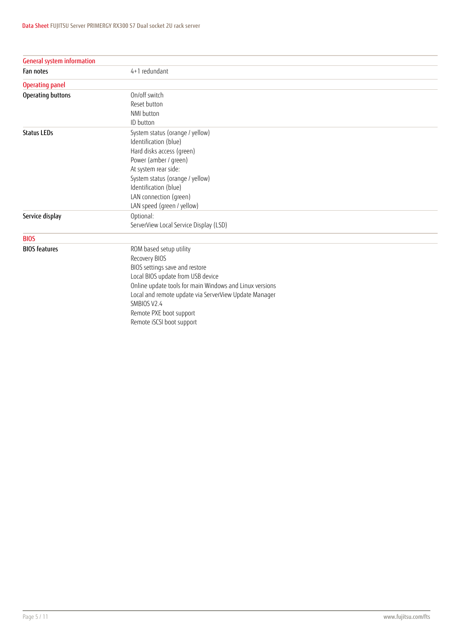| <b>General system information</b> |                                                                                                                                                                                                                                                                                                            |
|-----------------------------------|------------------------------------------------------------------------------------------------------------------------------------------------------------------------------------------------------------------------------------------------------------------------------------------------------------|
| Fan notes                         | 4+1 redundant                                                                                                                                                                                                                                                                                              |
| <b>Operating panel</b>            |                                                                                                                                                                                                                                                                                                            |
| Operating buttons                 | On/off switch<br>Reset button<br>NMI button<br>ID button                                                                                                                                                                                                                                                   |
| <b>Status LEDs</b>                | System status (orange / yellow)<br>Identification (blue)<br>Hard disks access (green)<br>Power (amber / green)<br>At system rear side:<br>System status (orange / yellow)<br>Identification (blue)<br>LAN connection (green)<br>LAN speed (green / yellow)                                                 |
| Service display                   | Optional:<br>ServerView Local Service Display (LSD)                                                                                                                                                                                                                                                        |
| <b>BIOS</b>                       |                                                                                                                                                                                                                                                                                                            |
| <b>BIOS</b> features              | ROM based setup utility<br>Recovery BIOS<br>BIOS settings save and restore<br>Local BIOS update from USB device<br>Online update tools for main Windows and Linux versions<br>Local and remote update via ServerView Update Manager<br>SMBIOS V2.4<br>Remote PXE boot support<br>Remote iSCSI boot support |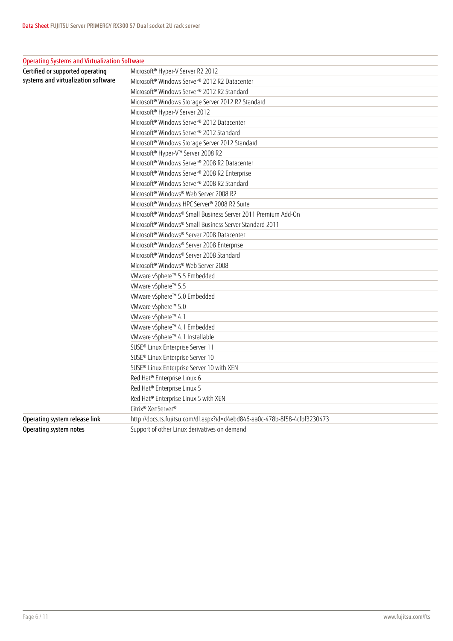| <b>Operating Systems and Virtualization Software</b> |                                                                            |
|------------------------------------------------------|----------------------------------------------------------------------------|
| Certified or supported operating                     | Microsoft <sup>®</sup> Hyper-V Server R2 2012                              |
| systems and virtualization software                  | Microsoft <sup>®</sup> Windows Server® 2012 R2 Datacenter                  |
|                                                      | Microsoft <sup>®</sup> Windows Server® 2012 R2 Standard                    |
|                                                      | Microsoft® Windows Storage Server 2012 R2 Standard                         |
|                                                      | Microsoft <sup>®</sup> Hyper-V Server 2012                                 |
|                                                      | Microsoft <sup>®</sup> Windows Server® 2012 Datacenter                     |
|                                                      | Microsoft® Windows Server® 2012 Standard                                   |
|                                                      | Microsoft® Windows Storage Server 2012 Standard                            |
|                                                      | Microsoft® Hyper-V™ Server 2008 R2                                         |
|                                                      | Microsoft <sup>®</sup> Windows Server® 2008 R2 Datacenter                  |
|                                                      | Microsoft® Windows Server® 2008 R2 Enterprise                              |
|                                                      | Microsoft® Windows Server® 2008 R2 Standard                                |
|                                                      | Microsoft® Windows® Web Server 2008 R2                                     |
|                                                      | Microsoft® Windows HPC Server® 2008 R2 Suite                               |
|                                                      | Microsoft <sup>®</sup> Windows® Small Business Server 2011 Premium Add-On  |
|                                                      | Microsoft <sup>®</sup> Windows® Small Business Server Standard 2011        |
|                                                      | Microsoft® Windows® Server 2008 Datacenter                                 |
|                                                      | Microsoft® Windows® Server 2008 Enterprise                                 |
|                                                      | Microsoft® Windows® Server 2008 Standard                                   |
|                                                      | Microsoft® Windows® Web Server 2008                                        |
|                                                      | VMware vSphere™ 5.5 Embedded                                               |
|                                                      | VMware vSphere™ 5.5                                                        |
|                                                      | VMware vSphere™ 5.0 Embedded                                               |
|                                                      | VMware vSphere™ 5.0                                                        |
|                                                      | VMware vSphere™ 4.1                                                        |
|                                                      | VMware vSphere™ 4.1 Embedded                                               |
|                                                      | VMware vSphere™ 4.1 Installable                                            |
|                                                      | SUSE <sup>®</sup> Linux Enterprise Server 11                               |
|                                                      | SUSE® Linux Enterprise Server 10                                           |
|                                                      | SUSE® Linux Enterprise Server 10 with XEN                                  |
|                                                      | Red Hat® Enterprise Linux 6                                                |
|                                                      | Red Hat® Enterprise Linux 5                                                |
|                                                      | Red Hat® Enterprise Linux 5 with XEN                                       |
|                                                      | Citrix® XenServer®                                                         |
| Operating system release link                        | http://docs.ts.fujitsu.com/dl.aspx?id=d4ebd846-aa0c-478b-8f58-4cfbf3230473 |
| Operating system notes                               | Support of other Linux derivatives on demand                               |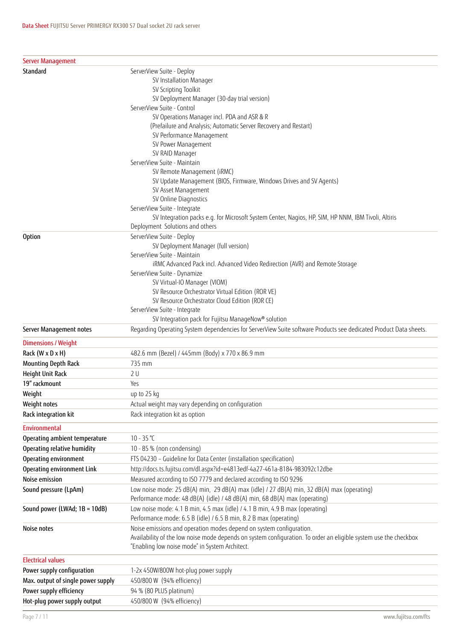| Server Management                  |                                                                                                                   |
|------------------------------------|-------------------------------------------------------------------------------------------------------------------|
| Standard                           | ServerView Suite - Deploy                                                                                         |
|                                    | SV Installation Manager                                                                                           |
|                                    | SV Scripting Toolkit                                                                                              |
|                                    | SV Deployment Manager (30-day trial version)                                                                      |
|                                    | ServerView Suite - Control                                                                                        |
|                                    | SV Operations Manager incl. PDA and ASR & R                                                                       |
|                                    | (Prefailure and Analysis; Automatic Server Recovery and Restart)                                                  |
|                                    | SV Performance Management                                                                                         |
|                                    | SV Power Management                                                                                               |
|                                    | SV RAID Manager<br>ServerView Suite - Maintain                                                                    |
|                                    | SV Remote Management (iRMC)                                                                                       |
|                                    | SV Update Management (BIOS, Firmware, Windows Drives and SV Agents)                                               |
|                                    | SV Asset Management                                                                                               |
|                                    | SV Online Diagnostics                                                                                             |
|                                    | ServerView Suite - Integrate                                                                                      |
|                                    | SV Integration packs e.g. for Microsoft System Center, Nagios, HP, SIM, HP NNM, IBM Tivoli, Altiris               |
|                                    | Deployment Solutions and others                                                                                   |
| <b>Option</b>                      | ServerView Suite - Deploy                                                                                         |
|                                    | SV Deployment Manager (full version)                                                                              |
|                                    | ServerView Suite - Maintain                                                                                       |
|                                    | iRMC Advanced Pack incl. Advanced Video Redirection (AVR) and Remote Storage                                      |
|                                    | ServerView Suite - Dynamize                                                                                       |
|                                    | SV Virtual-IO Manager (VIOM)                                                                                      |
|                                    | SV Resource Orchestrator Virtual Edition (ROR VE)                                                                 |
|                                    | SV Resource Orchestrator Cloud Edition (ROR CE)                                                                   |
|                                    | ServerView Suite - Integrate                                                                                      |
|                                    | SV Integration pack for Fujitsu ManageNow® solution                                                               |
| Server Management notes            | Regarding Operating System dependencies for ServerView Suite software Products see dedicated Product Data sheets. |
| <b>Dimensions / Weight</b>         |                                                                                                                   |
| Rack (W x D x H)                   | 482.6 mm (Bezel) / 445mm (Body) x 770 x 86.9 mm                                                                   |
| Mounting Depth Rack                | 735 mm                                                                                                            |
| Height Unit Rack                   | 2U                                                                                                                |
| 19" rackmount                      | Yes                                                                                                               |
| Weight                             | up to 25 kg                                                                                                       |
| Weight notes                       | Actual weight may vary depending on configuration                                                                 |
| Rack integration kit               | Rack integration kit as option                                                                                    |
| <b>Environmental</b>               |                                                                                                                   |
| Operating ambient temperature      | $10 - 35$ °C                                                                                                      |
| Operating relative humidity        | 10 - 85 % (non condensing)                                                                                        |
| Operating environment              | FTS 04230 - Guideline for Data Center (installation specification)                                                |
| Operating environment Link         | http://docs.ts.fujitsu.com/dl.aspx?id=e4813edf-4a27-461a-8184-983092c12dbe                                        |
| Noise emission                     | Measured according to ISO 7779 and declared according to ISO 9296                                                 |
| Sound pressure (LpAm)              | Low noise mode: 25 dB(A) min, 29 dB(A) max (idle) / 27 dB(A) min, 32 dB(A) max (operating)                        |
|                                    | Performance mode: 48 dB(A) (idle) / 48 dB(A) min, 68 dB(A) max (operating)                                        |
| Sound power (LWAd; 1B = 10dB)      | Low noise mode: 4.1 B min, 4.5 max (idle) / 4.1 B min, 4.9 B max (operating)                                      |
|                                    | Performance mode: 6.5 B (idle) / 6.5 B min, 8.2 B max (operating)                                                 |
| Noise notes                        | Noise emissions and operation modes depend on system configuration.                                               |
|                                    | Availability of the low noise mode depends on system configuration. To order an eligible system use the checkbox  |
|                                    | "Enabling low noise mode" in System Architect.                                                                    |
| <b>Electrical values</b>           |                                                                                                                   |
| Power supply configuration         | 1-2x 450W/800W hot-plug power supply                                                                              |
| Max. output of single power supply | 450/800 W (94% efficiency)                                                                                        |
| Power supply efficiency            | 94 % (80 PLUS platinum)                                                                                           |
| Hot-plug power supply output       | 450/800 W (94% efficiency)                                                                                        |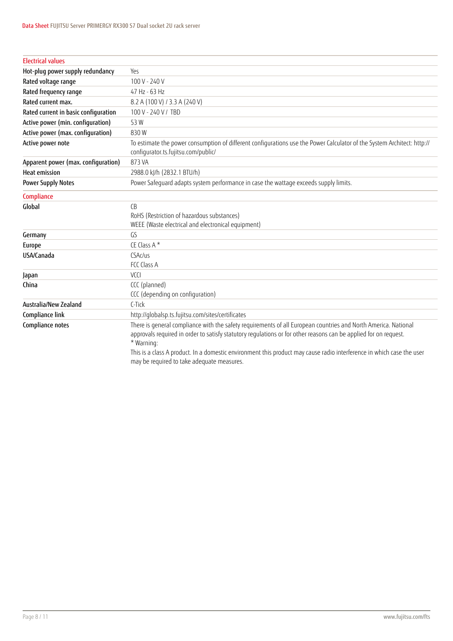| <b>Electrical values</b>             |                                                                                                                                                                |
|--------------------------------------|----------------------------------------------------------------------------------------------------------------------------------------------------------------|
| Hot-plug power supply redundancy     | Yes                                                                                                                                                            |
| Rated voltage range                  | 100 V - 240 V                                                                                                                                                  |
| Rated frequency range                | 47 Hz - 63 Hz                                                                                                                                                  |
| Rated current max.                   | 8.2 A (100 V) / 3.3 A (240 V)                                                                                                                                  |
| Rated current in basic configuration | 100 V - 240 V / TBD                                                                                                                                            |
| Active power (min. configuration)    | 53W                                                                                                                                                            |
| Active power (max. configuration)    | 830W                                                                                                                                                           |
| Active power note                    | To estimate the power consumption of different configurations use the Power Calculator of the System Architect: http://<br>configurator.ts.fujitsu.com/public/ |
| Apparent power (max. configuration)  | 873 VA                                                                                                                                                         |
| <b>Heat emission</b>                 | 2988.0 kJ/h (2832.1 BTU/h)                                                                                                                                     |
| <b>Power Supply Notes</b>            | Power Safequard adapts system performance in case the wattage exceeds supply limits.                                                                           |
| Compliance                           |                                                                                                                                                                |
| Global                               | CB                                                                                                                                                             |
|                                      | RoHS (Restriction of hazardous substances)                                                                                                                     |
|                                      | WEEE (Waste electrical and electronical equipment)                                                                                                             |
| Germany                              | GS                                                                                                                                                             |
| Europe                               | CE Class A*                                                                                                                                                    |
| USA/Canada                           | CSAc/us                                                                                                                                                        |
|                                      | FCC Class A                                                                                                                                                    |
| Japan                                | V <sub>1</sub>                                                                                                                                                 |
| China                                | CCC (planned)                                                                                                                                                  |
|                                      | CCC (depending on configuration)                                                                                                                               |
| Australia/New Zealand                | C-Tick                                                                                                                                                         |
| Compliance link                      | http://qlobalsp.ts.fujitsu.com/sites/certificates                                                                                                              |
| Compliance notes                     | There is general compliance with the safety requirements of all European countries and North America. National                                                 |
|                                      | approvals required in order to satisfy statutory regulations or for other reasons can be applied for on request.                                               |
|                                      | * Warning:                                                                                                                                                     |
|                                      | This is a class A product. In a domestic environment this product may cause radio interference in which case the user                                          |
|                                      | may be required to take adequate measures.                                                                                                                     |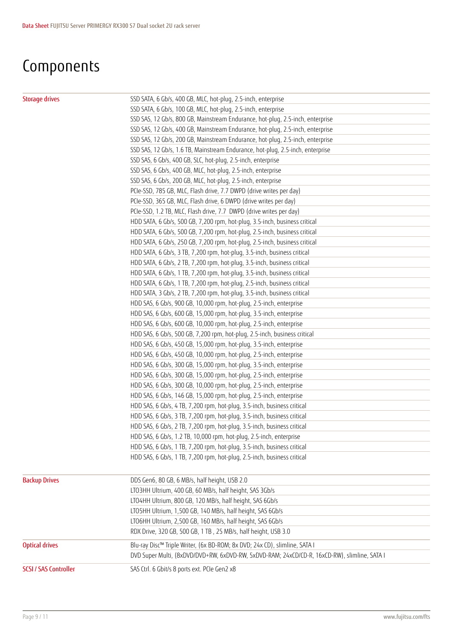### **Components**

| <b>Storage drives</b>        | SSD SATA, 6 Gb/s, 400 GB, MLC, hot-plug, 2.5-inch, enterprise                                |
|------------------------------|----------------------------------------------------------------------------------------------|
|                              | SSD SATA, 6 Gb/s, 100 GB, MLC, hot-plug, 2.5-inch, enterprise                                |
|                              | SSD SAS, 12 Gb/s, 800 GB, Mainstream Endurance, hot-plug, 2.5-inch, enterprise               |
|                              | SSD SAS, 12 Gb/s, 400 GB, Mainstream Endurance, hot-plug, 2.5-inch, enterprise               |
|                              | SSD SAS, 12 Gb/s, 200 GB, Mainstream Endurance, hot-plug, 2.5-inch, enterprise               |
|                              | SSD SAS, 12 Gb/s, 1.6 TB, Mainstream Endurance, hot-plug, 2.5-inch, enterprise               |
|                              | SSD SAS, 6 Gb/s, 400 GB, SLC, hot-plug, 2.5-inch, enterprise                                 |
|                              | SSD SAS, 6 Gb/s, 400 GB, MLC, hot-plug, 2.5-inch, enterprise                                 |
|                              | SSD SAS, 6 Gb/s, 200 GB, MLC, hot-plug, 2.5-inch, enterprise                                 |
|                              | PCIe-SSD, 785 GB, MLC, Flash drive, 7.7 DWPD (drive writes per day)                          |
|                              | PCIe-SSD, 365 GB, MLC, Flash drive, 6 DWPD (drive writes per day)                            |
|                              | PCIe-SSD, 1.2 TB, MLC, Flash drive, 7.7 DWPD (drive writes per day)                          |
|                              | HDD SATA, 6 Gb/s, 500 GB, 7,200 rpm, hot-plug, 3.5-inch, business critical                   |
|                              | HDD SATA, 6 Gb/s, 500 GB, 7,200 rpm, hot-plug, 2.5-inch, business critical                   |
|                              | HDD SATA, 6 Gb/s, 250 GB, 7,200 rpm, hot-plug, 2.5-inch, business critical                   |
|                              | HDD SATA, 6 Gb/s, 3 TB, 7,200 rpm, hot-plug, 3.5-inch, business critical                     |
|                              | HDD SATA, 6 Gb/s, 2 TB, 7,200 rpm, hot-plug, 3.5-inch, business critical                     |
|                              | HDD SATA, 6 Gb/s, 1 TB, 7,200 rpm, hot-plug, 3.5-inch, business critical                     |
|                              | HDD SATA, 6 Gb/s, 1 TB, 7,200 rpm, hot-plug, 2.5-inch, business critical                     |
|                              | HDD SATA, 3 Gb/s, 2 TB, 7,200 rpm, hot-plug, 3.5-inch, business critical                     |
|                              | HDD SAS, 6 Gb/s, 900 GB, 10,000 rpm, hot-plug, 2.5-inch, enterprise                          |
|                              | HDD SAS, 6 Gb/s, 600 GB, 15,000 rpm, hot-plug, 3.5-inch, enterprise                          |
|                              | HDD SAS, 6 Gb/s, 600 GB, 10,000 rpm, hot-plug, 2.5-inch, enterprise                          |
|                              | HDD SAS, 6 Gb/s, 500 GB, 7,200 rpm, hot-plug, 2.5-inch, business critical                    |
|                              | HDD SAS, 6 Gb/s, 450 GB, 15,000 rpm, hot-plug, 3.5-inch, enterprise                          |
|                              | HDD SAS, 6 Gb/s, 450 GB, 10,000 rpm, hot-plug, 2.5-inch, enterprise                          |
|                              | HDD SAS, 6 Gb/s, 300 GB, 15,000 rpm, hot-plug, 3.5-inch, enterprise                          |
|                              | HDD SAS, 6 Gb/s, 300 GB, 15,000 rpm, hot-plug, 2.5-inch, enterprise                          |
|                              | HDD SAS, 6 Gb/s, 300 GB, 10,000 rpm, hot-plug, 2.5-inch, enterprise                          |
|                              | HDD SAS, 6 Gb/s, 146 GB, 15,000 rpm, hot-plug, 2.5-inch, enterprise                          |
|                              | HDD SAS, 6 Gb/s, 4 TB, 7,200 rpm, hot-plug, 3.5-inch, business critical                      |
|                              | HDD SAS, 6 Gb/s, 3 TB, 7,200 rpm, hot-plug, 3.5-inch, business critical                      |
|                              | HDD SAS, 6 Gb/s, 2 TB, 7,200 rpm, hot-plug, 3.5-inch, business critical                      |
|                              | HDD SAS, 6 Gb/s, 1.2 TB, 10,000 rpm, hot-plug, 2.5-inch, enterprise                          |
|                              | HDD SAS, 6 Gb/s, 1 TB, 7,200 rpm, hot-plug, 3.5-inch, business critical                      |
|                              | HDD SAS, 6 Gb/s, 1 TB, 7,200 rpm, hot-plug, 2.5-inch, business critical                      |
| <b>Backup Drives</b>         | DDS Gen6, 80 GB, 6 MB/s, half height, USB 2.0                                                |
|                              | LTO3HH Ultrium, 400 GB, 60 MB/s, half height, SAS 3Gb/s                                      |
|                              | LTO4HH Ultrium, 800 GB, 120 MB/s, half height, SAS 6Gb/s                                     |
|                              | LTO5HH Ultrium, 1,500 GB, 140 MB/s, half height, SAS 6Gb/s                                   |
|                              | LTO6HH Ultrium, 2,500 GB, 160 MB/s, half height, SAS 6Gb/s                                   |
|                              | RDX Drive, 320 GB, 500 GB, 1 TB, 25 MB/s, half height, USB 3.0                               |
| <b>Optical drives</b>        | Blu-ray Disc™ Triple Writer, (6x BD-ROM; 8x DVD; 24x CD), slimline, SATA I                   |
|                              | DVD Super Multi, (8xDVD/DVD+RW, 6xDVD-RW, 5xDVD-RAM; 24xCD/CD-R, 16xCD-RW), slimline, SATA I |
| <b>SCSI / SAS Controller</b> | SAS Ctrl. 6 Gbit/s 8 ports ext. PCIe Gen2 x8                                                 |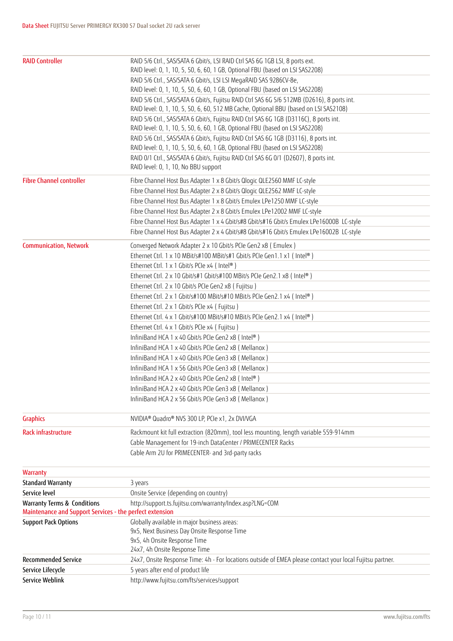| <b>RAID Controller</b>                                   | RAID 5/6 Ctrl., SAS/SATA 6 Gbit/s, LSI RAID Ctrl SAS 6G 1GB LSI, 8 ports ext.                                                 |
|----------------------------------------------------------|-------------------------------------------------------------------------------------------------------------------------------|
|                                                          | RAID level: 0, 1, 10, 5, 50, 6, 60, 1 GB, Optional FBU (based on LSI SAS2208)                                                 |
|                                                          | RAID 5/6 Ctrl., SAS/SATA 6 Gbit/s, LSI LSI MegaRAID SAS 9286CV-8e,                                                            |
|                                                          | RAID level: 0, 1, 10, 5, 50, 6, 60, 1 GB, Optional FBU (based on LSI SAS2208)                                                 |
|                                                          | RAID 5/6 Ctrl., SAS/SATA 6 Gbit/s, Fujitsu RAID Ctrl SAS 6G 5/6 512MB (D2616), 8 ports int.                                   |
|                                                          | RAID level: 0, 1, 10, 5, 50, 6, 60, 512 MB Cache, Optional BBU (based on LSI SAS2108)                                         |
|                                                          | RAID 5/6 Ctrl., SAS/SATA 6 Gbit/s, Fujitsu RAID Ctrl SAS 6G 1GB (D3116C), 8 ports int.                                        |
|                                                          | RAID level: 0, 1, 10, 5, 50, 6, 60, 1 GB, Optional FBU (based on LSI SAS2208)                                                 |
|                                                          | RAID 5/6 Ctrl., SAS/SATA 6 Gbit/s, Fujitsu RAID Ctrl SAS 6G 1GB (D3116), 8 ports int.                                         |
|                                                          | RAID level: 0, 1, 10, 5, 50, 6, 60, 1 GB, Optional FBU (based on LSI SAS2208)                                                 |
|                                                          | RAID 0/1 Ctrl., SAS/SATA 6 Gbit/s, Fujitsu RAID Ctrl SAS 6G 0/1 (D2607), 8 ports int.<br>RAID level: 0, 1, 10, No BBU support |
|                                                          |                                                                                                                               |
| <b>Fibre Channel controller</b>                          | Fibre Channel Host Bus Adapter 1 x 8 Gbit/s Qlogic QLE2560 MMF LC-style                                                       |
|                                                          | Fibre Channel Host Bus Adapter 2 x 8 Gbit/s Qlogic QLE2562 MMF LC-style                                                       |
|                                                          | Fibre Channel Host Bus Adapter 1 x 8 Gbit/s Emulex LPe1250 MMF LC-style                                                       |
|                                                          | Fibre Channel Host Bus Adapter 2 x 8 Gbit/s Emulex LPe12002 MMF LC-style                                                      |
|                                                          | Fibre Channel Host Bus Adapter 1 x 4 Gbit/s#8 Gbit/s#16 Gbit/s Emulex LPe16000B LC-style                                      |
|                                                          | Fibre Channel Host Bus Adapter 2 x 4 Gbit/s#8 Gbit/s#16 Gbit/s Emulex LPe16002B LC-style                                      |
| <b>Communication, Network</b>                            | Converged Network Adapter 2 x 10 Gbit/s PCIe Gen2 x8 (Emulex)                                                                 |
|                                                          | Ethernet Ctrl. 1 x 10 MBit/s#100 MBit/s#1 Gbit/s PCIe Gen1.1 x1 (Intel®)                                                      |
|                                                          | Ethernet Ctrl. 1 x 1 Gbit/s PCIe x4 ( Intel®)                                                                                 |
|                                                          | Ethernet Ctrl. 2 x 10 Gbit/s#1 Gbit/s#100 MBit/s PCIe Gen2.1 x8 ( Intel®)                                                     |
|                                                          | Ethernet Ctrl. 2 x 10 Gbit/s PCIe Gen2 x8 (Fujitsu)                                                                           |
|                                                          | Ethernet Ctrl. 2 x 1 Gbit/s#100 MBit/s#10 MBit/s PCIe Gen2.1 x4 ( Intel®)                                                     |
|                                                          | Ethernet Ctrl. 2 x 1 Gbit/s PCIe x4 (Fujitsu)                                                                                 |
|                                                          | Ethernet Ctrl. 4 x 1 Gbit/s#100 MBit/s#10 MBit/s PCIe Gen2.1 x4 ( Intel®)                                                     |
|                                                          | Ethernet Ctrl. 4 x 1 Gbit/s PCIe x4 (Fujitsu)                                                                                 |
|                                                          | InfiniBand HCA 1 x 40 Gbit/s PCIe Gen2 x8 (Intel®)                                                                            |
|                                                          | InfiniBand HCA 1 x 40 Gbit/s PCIe Gen2 x8 (Mellanox)                                                                          |
|                                                          | InfiniBand HCA 1 x 40 Gbit/s PCIe Gen3 x8 (Mellanox)                                                                          |
|                                                          | InfiniBand HCA 1 x 56 Gbit/s PCIe Gen3 x8 (Mellanox)                                                                          |
|                                                          | InfiniBand HCA 2 x 40 Gbit/s PCIe Gen2 x8 (Intel®)                                                                            |
|                                                          | InfiniBand HCA 2 x 40 Gbit/s PCIe Gen3 x8 (Mellanox)                                                                          |
|                                                          | InfiniBand HCA 2 x 56 Gbit/s PCIe Gen3 x8 (Mellanox)                                                                          |
|                                                          |                                                                                                                               |
| <b>Graphics</b>                                          | NVIDIA® Quadro® NVS 300 LP, PCIe x1, 2x DVI/VGA                                                                               |
| Rack infrastructure                                      | Rackmount kit full extraction (820mm), tool less mounting, length variable 559-914mm                                          |
|                                                          | Cable Management for 19-inch DataCenter / PRIMECENTER Racks                                                                   |
|                                                          | Cable Arm 2U for PRIMECENTER- and 3rd-party racks                                                                             |
| Warranty                                                 |                                                                                                                               |
| <b>Standard Warranty</b>                                 | 3 years                                                                                                                       |
| Service level                                            | Onsite Service (depending on country)                                                                                         |
| <b>Warranty Terms &amp; Conditions</b>                   | http://support.ts.fujitsu.com/warranty/Index.asp?LNG=COM                                                                      |
| Maintenance and Support Services - the perfect extension |                                                                                                                               |
| <b>Support Pack Options</b>                              | Globally available in major business areas:                                                                                   |
|                                                          | 9x5, Next Business Day Onsite Response Time                                                                                   |
|                                                          | 9x5, 4h Onsite Response Time                                                                                                  |
|                                                          | 24x7, 4h Onsite Response Time                                                                                                 |
| <b>Recommended Service</b>                               | 24x7, Onsite Response Time: 4h - For locations outside of EMEA please contact your local Fujitsu partner.                     |
| Service Lifecycle                                        | 5 years after end of product life                                                                                             |
| Service Weblink                                          | http://www.fujitsu.com/fts/services/support                                                                                   |